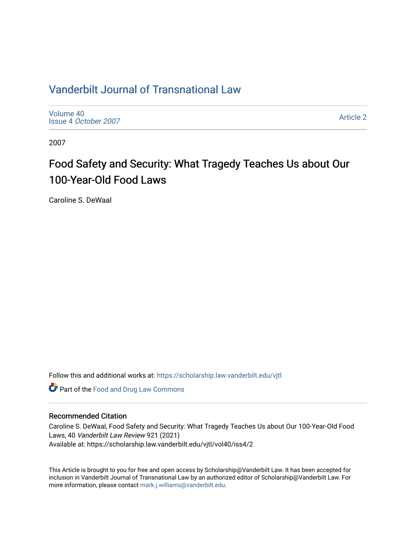### [Vanderbilt Journal of Transnational Law](https://scholarship.law.vanderbilt.edu/vjtl)

[Volume 40](https://scholarship.law.vanderbilt.edu/vjtl/vol40) Issue 4 [October 2007](https://scholarship.law.vanderbilt.edu/vjtl/vol40/iss4)

[Article 2](https://scholarship.law.vanderbilt.edu/vjtl/vol40/iss4/2) 

2007

# Food Safety and Security: What Tragedy Teaches Us about Our 100-Year-Old Food Laws

Caroline S. DeWaal

Follow this and additional works at: [https://scholarship.law.vanderbilt.edu/vjtl](https://scholarship.law.vanderbilt.edu/vjtl?utm_source=scholarship.law.vanderbilt.edu%2Fvjtl%2Fvol40%2Fiss4%2F2&utm_medium=PDF&utm_campaign=PDFCoverPages) 

**Part of the Food and Drug Law Commons** 

### Recommended Citation

Caroline S. DeWaal, Food Safety and Security: What Tragedy Teaches Us about Our 100-Year-Old Food Laws, 40 Vanderbilt Law Review 921 (2021) Available at: https://scholarship.law.vanderbilt.edu/vjtl/vol40/iss4/2

This Article is brought to you for free and open access by Scholarship@Vanderbilt Law. It has been accepted for inclusion in Vanderbilt Journal of Transnational Law by an authorized editor of Scholarship@Vanderbilt Law. For more information, please contact [mark.j.williams@vanderbilt.edu](mailto:mark.j.williams@vanderbilt.edu).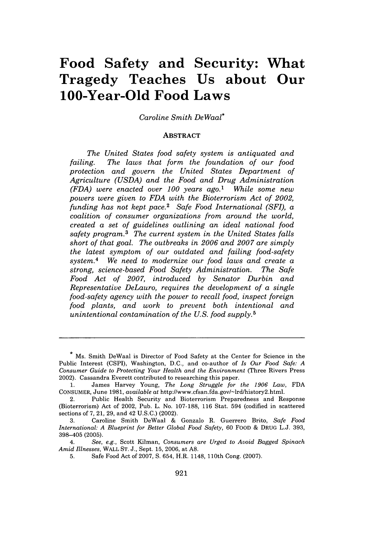## **Food Safety and Security: What Tragedy Teaches Us about Our 100-Year-Old Food Laws**

#### *Caroline Smith DeWaal\**

#### **ABSTRACT**

*The United States food safety system is antiquated and failing. The laws that form the foundation of our food protection and govern the United States Department of Agriculture (USDA) and the Food and Drug Administration (FDA) were enacted over 100 years ago.1 While some new powers were given to FDA with the Bioterrorism Act of 2002, funding has not kept pace.2 Safe Food International (SF), a coalition of consumer organizations from around the world, created a set of guidelines outlining an ideal national food safety program.3 The current system in the United States falls short of that goal. The outbreaks in 2006 and 2007 are simply the latest symptom of our outdated and failing food-safety system.4 We need to modernize our food laws and create a strong, science-based Food Safety Administration. The Safe Food Act of 2007, introduced by Senator Durbin and Representative DeLauro, requires the development of a single food-safety agency with the power to recall food, inspect foreign food plants, and work to prevent both intentional and unintentional contamination of the U.S. food supply. <sup>5</sup>*

**<sup>\*</sup>** Ms. Smith DeWaal is Director of Food Safety at the Center for Science in the Public Interest **(CSPI),** Washington, **D.C.,** and co-author of *Is Our Food Safe: A Consumer Guide to Protecting Your Health and the Environment* (Three Rivers Press 2002). Cassandra Everett contributed to researching this paper.

**<sup>1.</sup>** James Harvey Young, *The Long Struggle for the 1906 Law,* **FDA CONSUMER,** June **1981,** *available* at http://www.cfsan.fda.gov/-lrdlhistory2.html.

<sup>2.</sup> Public Health Security and Bioterrorism Preparedness and Response (Bioterrorism) Act of 2002, Pub. L. No. **107-188, 116** Stat. 594 (codified in scattered sections of **7,** 21, **29,** and 42 **U.S.C.)** (2002).

<sup>3.</sup> Caroline Smith DeWaal & Gonzalo R. Guerrero Brito, *Safe Food International: A Blueprint for Better Global Food* Safety, 60 FOOD & DRUG L.J. 393, 398-405 (2005).

*<sup>4.</sup> See, e.g.,* Scott Kilman, *Consumers are Urged to Avoid Bagged Spinach Amid Illnesses,* WALL ST. J., Sept. 15, 2006, at **A8.**

<sup>5.</sup> Safe Food Act of 2007, **S.** 654, H.R. 1148, 110th Cong. (2007).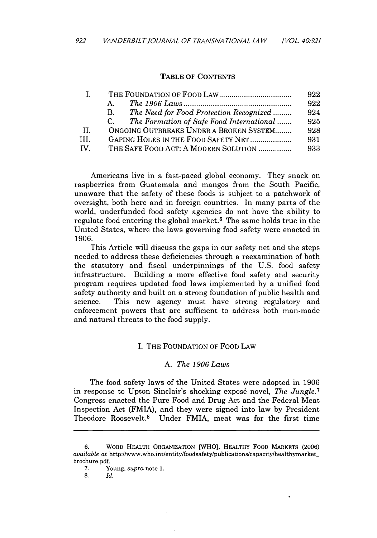#### TABLE OF **CONTENTS**

|                       |                                                          | 922 |
|-----------------------|----------------------------------------------------------|-----|
|                       | A.                                                       | 922 |
|                       | The Need for Food Protection Recognized<br><b>B.</b>     | 924 |
|                       | The Formation of Safe Food International<br>$C_{\alpha}$ | 925 |
| H.                    | ONGOING OUTBREAKS UNDER A BROKEN SYSTEM                  | 928 |
| TH.                   | GAPING HOLES IN THE FOOD SAFETY NET                      | 931 |
| $\mathbf{IV}_{\perp}$ | THE SAFE FOOD ACT: A MODERN SOLUTION                     | 933 |

Americans live in a fast-paced global economy. They snack on raspberries from Guatemala and mangos from the South Pacific, unaware that the safety of these foods is subject to a patchwork of oversight, both here and in foreign countries. In many parts of the world, underfunded food safety agencies do not have the ability to regulate food entering the global market.<sup> $6$ </sup> The same holds true in the United States, where the laws governing food safety were enacted in 1906.

This Article will discuss the gaps in our safety net and the steps needed to address these deficiencies through a reexamination of both the statutory and fiscal underpinnings of the U.S. food safety infrastructure. Building a more effective food safety and security program requires updated food laws implemented by a unified food safety authority and built on a strong foundation of public health and science. This new agency must have strong regulatory and enforcement powers that are sufficient to address both man-made and natural threats to the food supply.

#### I. THE FOUNDATION OF FOOD LAW

#### A. *The 1906 Laws*

The food safety laws of the United States were adopted in 1906 in response to Upton Sinclair's shocking expos6 novel, *The Jungle.7* Congress enacted the Pure Food and Drug Act and the Federal Meat Inspection Act (FMIA), and they were signed into law by President Theodore Roosevelt.8 Under FMIA, meat was for the first time

<sup>6.</sup> WORD HEALTH ORGANIZATION [WHO], HEALTHY FOOD MARKETS (2006) *available* at http://www.who.int/entity/foodsafety/publications/capacity/healthymarketbrochure.pdf.

<sup>7.</sup> Young, *supra* note 1.

<sup>8.</sup> *Id.*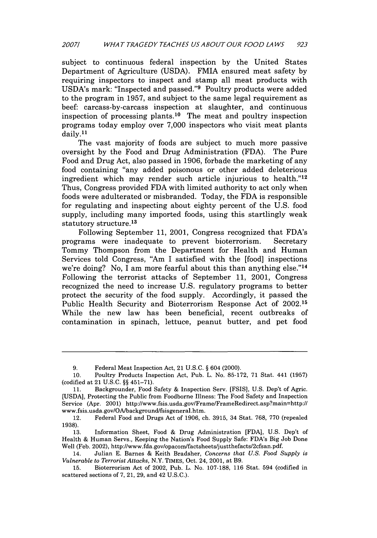subject to continuous federal inspection by the United States Department of Agriculture (USDA). FMIA ensured meat safety by requiring inspectors to inspect and stamp all meat products with USDA's mark: "Inspected and passed."9 Poultry products were added to the program in 1957, and subject to the same legal requirement as beef: carcass-by-carcass inspection at slaughter, and continuous inspection of processing plants.<sup>10</sup> The meat and poultry inspection programs today employ over 7,000 inspectors who visit meat plants daily.<sup>11</sup>

The vast majority of foods are subject to much more passive oversight by the Food and Drug Administration (FDA). The Pure Food and Drug Act, also passed in 1906, forbade the marketing of any food containing "any added poisonous or other added deleterious ingredient which may render such article injurious to health."'12 Thus, Congress provided FDA with limited authority to act only when foods were adulterated or misbranded. Today, the FDA is responsible for regulating and inspecting about eighty percent of the U.S. food supply, including many imported foods, using this startlingly weak statutory structure.<sup>13</sup>

Following September 11, 2001, Congress recognized that FDA's programs were inadequate to prevent bioterrorism. Secretary Tommy Thompson from the Department for Health and Human Services told Congress, "Am I satisfied with the [food] inspections we're doing? No, I am more fearful about this than anything else."<sup>14</sup> Following the terrorist attacks of September 11, 2001, Congress recognized the need to increase U.S. regulatory programs to better protect the security of the food supply. Accordingly, it passed the Public Health Security and Bioterrorism Response Act of **2002.15** While the new law has been beneficial, recent outbreaks of contamination in spinach, lettuce, peanut butter, and pet food

13. Information Sheet, Food & Drug Administration [FDA], U.S. Dep't of Health & Human Servs., Keeping the Nation's Food Supply Safe: FDA's Big Job Done Well (Feb. 2002), http://www.fda.gov/opacom/factsheets/justthefacts/2cfsan.pdf.

<sup>9.</sup> Federal Meat Inspection Act, 21 U.S.C. § 604 (2000).

<sup>10.</sup> Poultry Products Inspection Act, Pub. L. No. 85-172, 71 Stat. 441 (1957) (codified at 21 U.S.C. §§ 451-71).

<sup>11.</sup> Backgrounder, Food Safety & Inspection Serv. [FSIS], U.S. Dep't of Agric. [USDA], Protecting the Public from Foodborne Illness: The Food Safety and Inspection Service (Apr. 2001) http://www.fsis.usda.gov/Frame/FrameRedirect.asp?main=http:// www.fsis.usda.gov/OAlbackground/fsisgeneral.htm.

<sup>12.</sup> Federal Food and Drugs Act of 1906, ch. 3915, 34 Stat. 768, 770 (repealed 1938).

<sup>14.</sup> Julian E. Barnes & Keith Bradsher, *Concerns that U.S. Food Supply is Vulnerable to Terrorist Attacks,* N.Y. TIMES, Oct. 24, 2001, at B9.

<sup>15.</sup> Bioterrorism Act of 2002, Pub. L. No. 107-188, 116 Stat. 594 (codified in scattered sections of 7, 21, 29, and 42 U.S.C.).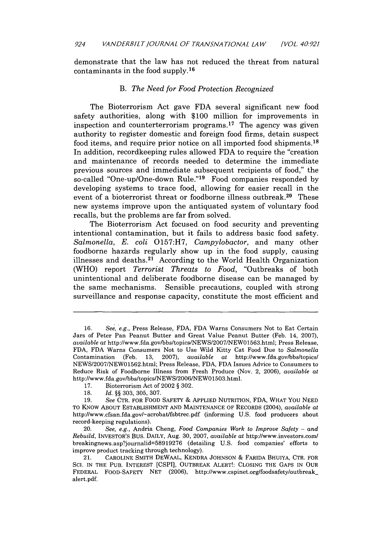demonstrate that the law has not reduced the threat from natural contaminants in the food supply.<sup>16</sup>

#### B. *The Need for Food Protection Recognized*

The Bioterrorism Act gave FDA several significant new food safety authorities, along with \$100 million for improvements in inspection and counterterrorism programs. 17 The agency was given authority to register domestic and foreign food firms, detain suspect food items, and require prior notice on all imported food shipments.<sup>18</sup> In addition, recordkeeping rules allowed FDA to require the "creation and maintenance of records needed to determine the immediate previous sources and immediate subsequent recipients of food," the so-called "One-up/One-down Rule."<sup>19</sup> Food companies responded by developing systems to trace food, allowing for easier recall in the event of a bioterrorist threat or foodborne illness outbreak.20 These new systems improve upon the antiquated system of voluntary food recalls, but the problems are far from solved.

The Bioterrorism Act focused on food security and preventing intentional contamination, but it fails to address basic food safety. *Salmonella, E. coli* 0157:H7, *Campylobactor,* and many other foodborne hazards regularly show up in the food supply, causing illnesses and deaths.21 According to the World Health Organization (WHO) report *Terrorist Threats to Food,* "Outbreaks of both unintentional and deliberate foodborne disease can be managed by the same mechanisms. Sensible precautions, coupled with strong surveillance and response capacity, constitute the most efficient and

<sup>16.</sup> See, *\*e.g.,* Press Release, FDA, FDA Warns Consumers Not to Eat Certain Jars of Peter Pan Peanut Butter and Great Value Peanut Butter (Feb. 14, 2007), *available* at http://www.fda.gov/bbs/topics/NEWS/2007/NEWO1563.html; Press Release, FDA, FDA Warns Consumers Not to Use Wild Kitty Cat Food Due to *Salmonella* Contamination (Feb. 13, 2007), *available at* http://www.fda.govlbbs/topicsl NEWS/2007/NEW01562.html; Press Release, FDA, FDA Issues Advice to Consumers to Reduce Risk of Foodborne Illness from Fresh Produce (Nov. 2, 2006), *available at* http://www.fda.gov/bbs/topics/NEWS/2006/NEW01503.html.

<sup>17.</sup> Bioterrorism Act of 2002 § 302.

<sup>18.</sup> *Id.* §§ 303, 305, 307.

<sup>19.</sup> *See* CTR. FOR FOOD SAFETY & APPLIED NUTRITION, FDA, WHAT You NEED TO KNOW ABOUT ESTABLISHMENT AND MAINTENANCE OF RECORDS (2004), *available at* http://www.cfsan.fda.govl-acrobatlfsbtrec.pdf (informing U.S. food producers about record-keeping regulations).

<sup>20.</sup> *See, e.g.,* Andria Cheng, *Food Companies Work to Improve Safety - and Rebuild,* INVESTOR'S BUS. DAILY, Aug. 30, 2007, *available at* http://www.investors.coml breakingnews.asp?journalid=58919276 (detailing U.S. food companies' efforts to improve product tracking through technology).

<sup>21.</sup> **CAROLINE** SMITH DEWAAL, KENDRA JOHNSON & FARIDA BHUIYA, CTR. FOR SCI. IN THE PUB. INTEREST [CSPI], OUTBREAK ALERT!: CLOSING THE GAPS IN OUR FEDERAL FOOD-SAFETY NET (2006), http://www.cspinet.org/foodsafety/outbreak\_ alert.pdf.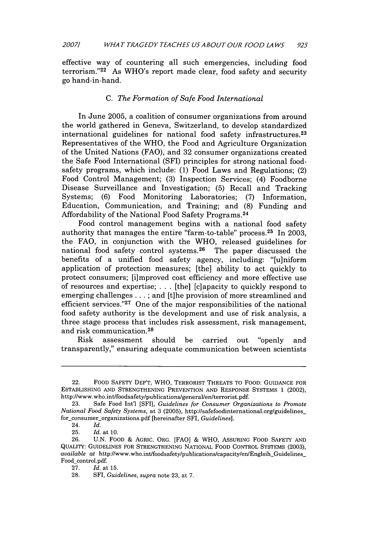effective way of countering all such emergencies, including food terrorism." $22$  As WHO's report made clear, food safety and security go hand-in-hand.

#### *C. The Formation of Safe Food International*

In June 2005, a coalition of consumer organizations from around the world gathered in Geneva, Switzerland, to develop standardized international guidelines for national food safety infrastructures. <sup>23</sup> Representatives of the WHO, the Food and Agriculture Organization of the United Nations (FAO), and 32 consumer organizations created the Safe Food International (SFI) principles for strong national foodsafety programs, which include: (1) Food Laws and Regulations; (2) Food Control Management; (3) Inspection Services; (4) Foodborne Disease Surveillance and Investigation; (5) Recall and Tracking Systems; (6) Food Monitoring Laboratories; (7) Information, Education, Communication, and Training; and (8) Funding and Affordability of the National Food Safety Programs. <sup>24</sup>

Food control management begins with a national food safety authority that manages the entire "farm-to-table" process. 25 In 2003, the FAO, in conjunction with the WHO, released guidelines for national food safety control systems. 26 The paper discussed the benefits of a unified food safety agency, including: "[u]niform application of protection measures; [the] ability to act quickly to protect consumers; [i]mproved cost efficiency and more effective use of resources and expertise;  $\ldots$  [the] [c]apacity to quickly respond to emerging challenges ... ; and [t]he provision of more streamlined and efficient services."<sup>27</sup> One of the major responsibilities of the national food safety authority is the development and use of risk analysis, a three stage process that includes risk assessment, risk management, and risk communication. <sup>28</sup>

Risk assessment should be carried out "openly and transparently," ensuring adequate communication between scientists

<sup>22.</sup> FOOD SAFETY DEP'T, WHO, TERRORIST THREATS TO FOOD: GUIDANCE FOR ESTABLISHING AND STRENGTHENING PREVENTION AND RESPONSE SYSTEMS 1 (2002), http://www.who.int/foodsafety/publications/general/en/terrorist.pdf.

<sup>23.</sup> Safe Food Int'l [SF11, *Guidelines for Consumer Organizations to Promote National Food Safety Systems,* at 3 (2005), http://safefoodinternational.org/guidelines\_ for\_consumer\_organizations.pdf [hereinafter SFI, *Guidelines*].

<sup>24.</sup> *Id.*

<sup>25.</sup> *Id.* at 10.

<sup>26.</sup> U.N. FOOD & AGRIC. ORG. [FAO] & WHO, ASSURING FOOD SAFETY AND QUALITY: GUIDELINES FOR STRENGTHENING NATIONAL FOOD CONTROL SYSTEMS (2003), *available at http://www.who.int/foodsafety/publications/capacity/en/Englsih\_Guidelines\_* Food\_control.pdf.

<sup>27.</sup> *Id.* at 15.

<sup>28.</sup> SFI, *Guidelines, supra* note 23, at 7.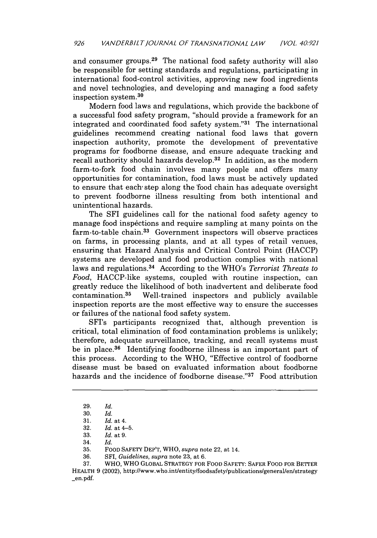and consumer groups. $29$  The national food safety authority will also be responsible for setting standards and regulations, participating in international food-control activities, approving new food ingredients and novel technologies, and developing and managing a food safety inspection system.<sup>30</sup>

Modern food laws and regulations, which provide the backbone of a successful food safety program, "should provide a framework for an integrated and coordinated food safety system."<sup>31</sup> The international guidelines recommend creating national food laws that govern inspection authority, promote the development of preventative programs for foodborne disease, and ensure adequate tracking and recall authority should hazards develop. $32$  In addition, as the modern farm-to-fork food chain involves many people and offers many opportunities for contamination, food laws must be actively updated to ensure that each' step along the food chain has adequate oversight to prevent foodborne illness resulting from both intentional and unintentional hazards.

The SFI guidelines call for the national food safety agency to manage food inspections and require sampling at many points on the farm-to-table chain.<sup>33</sup> Government inspectors will observe practices on farms, in processing plants, and at all types of retail venues, ensuring that Hazard Analysis and Critical Control Point (HACCP) systems are developed and food production complies with national laws and regulations. 34 According to the WHO's *Terrorist Threats to Food,* HACCP-like systems, coupled with routine inspection, can greatly reduce the likelihood of both inadvertent and deliberate food contamination. 35 Well-trained inspectors and publicly available inspection reports are the most effective way to ensure the successes or failures of the national food safety system.

SFI's participants recognized that, although prevention is critical, total elimination of food contamination problems is unlikely; therefore, adequate surveillance, tracking, and recall systems must be in place. 36 Identifying foodborne illness is an important part of this process. According to the WHO, "Effective control of foodborne disease must be based on evaluated information about foodborne hazards and the incidence of foodborne disease."37 Food attribution

37. WHO, WHO GLOBAL STRATEGY FOR FOOD SAFETY: SAFER FOOD FOR BETrER HEALTH 9 (2002), http://www.who.int/entity/foodsafety/publications/general/en/strategy \_en.pdf.

<sup>29.</sup> *Id.*

<sup>30.</sup> *Id.*

<sup>31.</sup> *Id.* at 4.

<sup>32.</sup> *Id.* at 4-5.

<sup>33.</sup> *Id.* at 9.

<sup>34.</sup> Id.

<sup>35.</sup> FOOD SAFETY DEP'T, WHO, *supra* note 22, at 14.

<sup>36.</sup> SFI, *Guidelines, supra* note 23, at 6.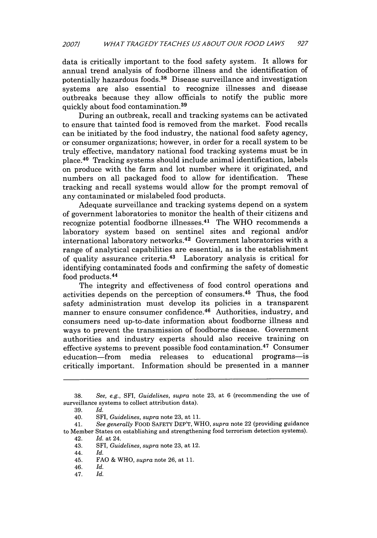data is critically important to the food safety system. It allows for annual trend analysis of foodborne illness and the identification of potentially hazardous foods. 38 Disease surveillance and investigation systems are also essential to recognize illnesses and disease outbreaks because they allow officials to notify the public more quickly about food contamination. <sup>39</sup>

During an outbreak, recall and tracking systems can be activated to ensure that tainted food is removed from the market. Food recalls can be initiated by the food industry, the national food safety agency, or consumer organizations; however, in order for a recall system to be truly effective, mandatory national food tracking systems must be in place. 40 Tracking systems should include animal identification, labels on produce with the farm and lot number where it originated, and numbers on all packaged food to allow for identification. These tracking and recall systems would allow for the prompt removal of any contaminated or mislabeled food products.

Adequate surveillance and tracking systems depend on a system of government laboratories to monitor the health of their citizens and recognize potential foodborne illnesses. 41 The WHO recommends a laboratory system based on sentinel sites and regional and/or international laboratory networks.42 Government laboratories with a range of analytical capabilities are essential, as is the establishment of quality assurance criteria. 43 Laboratory analysis is critical for identifying contaminated foods and confirming the safety of domestic food products. <sup>44</sup>

The integrity and effectiveness of food control operations and activities depends on the perception of consumers. 45 Thus, the food safety administration must develop its policies in a transparent manner to ensure consumer confidence. 46 Authorities, industry, and consumers need up-to-date information about foodborne illness and ways to prevent the transmission of foodborne disease. Government authorities and industry experts should also receive training on effective systems to prevent possible food contamination. 47 Consumer education-from media releases to educational programs- is critically important. Information should be presented in a manner

41. *See generally* FOOD SAFETY DEP'T, WHO, *supra* note 22 (providing guidance to Member States on establishing and strengthening food terrorism detection systems).

47. *Id.*

<sup>38.</sup> *See, e.g.,* SFI, *Guidelines, supra* note 23, at 6 (recommending the use of surveillance systems to collect attribution data).

<sup>39.</sup> *Id.*

<sup>40.</sup> SFI, *Guidelines, supra* note 23, at 11.

<sup>42.</sup> *Id.* at 24.

<sup>43.</sup> SFI, *Guidelines, supra* note 23, at 12.

<sup>44.</sup> *Id.*

<sup>45.</sup> FAO & WHO, *supra* note 26, at 11.

<sup>46.</sup> *Id.*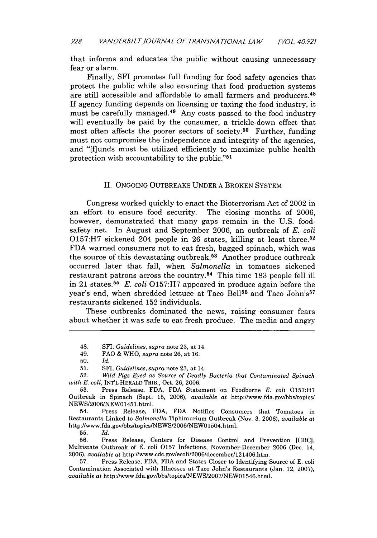that informs and educates the public without causing unnecessary fear or alarm.

Finally, SFI promotes full funding for food safety agencies that protect the public while also ensuring that food production systems are still accessible and affordable to small farmers and producers. <sup>48</sup> If agency funding depends on licensing or taxing the food industry, it must be carefully managed.49 Any costs passed to the food industry will eventually be paid by the consumer, a trickle-down effect that most often affects the poorer sectors of society.50 Further, funding must not compromise the independence and integrity of the agencies, and "[flunds must be utilized efficiently to maximize public health protection with accountability to the public."51

#### II. ONGOING OUTBREAKS UNDER A BROKEN SYSTEM

Congress worked quickly to enact the Bioterrorism Act of 2002 in an effort to ensure food security. The closing months of 2006, however, demonstrated that many gaps remain in the U.S. foodsafety net. In August and September 2006, an outbreak of *E. coli* 0157:H7 sickened 204 people in 26 states, killing at least three. <sup>52</sup> FDA warned consumers not to eat fresh, bagged spinach, which was the source of this devastating outbreak. 53 Another produce outbreak occurred later that fall, when *Salmonella* in tomatoes sickened restaurant patrons across the country.<sup>54</sup> This time  $183$  people fell ill in 21 states. <sup>55</sup>*E. coli* 0157:H7 appeared in produce again before the year's end, when shredded lettuce at Taco Bell<sup>56</sup> and Taco John's<sup>57</sup> restaurants sickened 152 individuals.

These outbreaks dominated the news, raising consumer fears about whether it was safe to eat fresh produce. The media and angry

50. *Id.*

51. SFI, *Guidelines, supra* note 23, at 14.

52. *Wild Pigs Eyed as Source of Deadly Bacteria that Contaminated Spinach with E. coli,* **INT'L** HERALD TRIB., Oct. 26, 2006.

54. Press Release, FDA, FDA Notifies Consumers that Tomatoes in Restaurants Linked to *Salmonella* Tiphimurium Outbreak (Nov. 3, 2006), *available at* http://www.fda.govbbs/topics/NEWS/2006NEWO1504.html.

**55.** *Id.*

56. Press Release, Centers for Disease Control and Prevention [CDC], Multistate Outbreak of E. coli 0157 Infections, November-December 2006 (Dec. 14, 2006), *available at* http://www.cdc.gov/ecoli/2006/december/121406.htm.

57. Press Release, FDA, FDA and States Closer to Identifying Source of E. coli Contamination Associated with Illnesses at Taco John's Restaurants (Jan. 12, 2007), *available at* http://www.fda.govfbbs/topics[NEWSI2007/NEW01546.html.

<sup>48.</sup> SFI, *Guidelines, supra* note 23, at 14.

<sup>49.</sup> FAO & WHO, *supra* note 26, at 16.

<sup>53.</sup> Press Release, FDA, FDA Statement on Foodborne *E. coli* 0157:H7 Outbreak in Spinach (Sept. 15, 2006), *available at* http://www.fda.gov/bbs/topics/ NEWS/2006/NEW01451.html.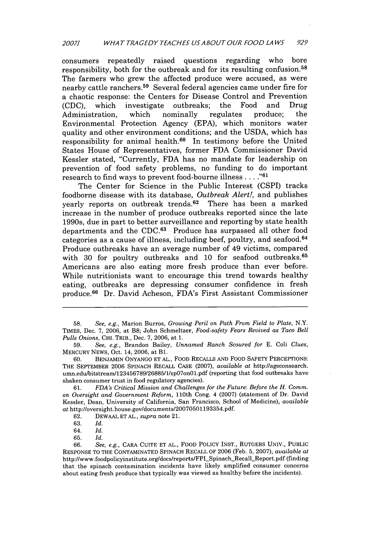consumers repeatedly raised questions regarding who bore responsibility, both for the outbreak and for its resulting confusion. <sup>58</sup> The farmers who grew the affected produce were accused, as were nearby cattle ranchers.<sup>59</sup> Several federal agencies came under fire for a chaotic response: the Centers for Disease Control and Prevention (CDC), which investigate outbreaks; the Food and Drug (CDC), which investigate outbreaks; the Food and Drug Administration. Environmental Protection Agency (EPA), which monitors water quality and other environment conditions; and the USDA, which has responsibility for animal health.<sup>60</sup> In testimony before the United States House of Representatives, former FDA Commissioner David Kessler stated, "Currently, FDA has no mandate for leadership on prevention of food safety problems, no funding to do important research to find ways to prevent food-bourne illness **...."61**

The Center for Science in the Public Interest (CSPI) tracks foodborne disease with its database, *Outbreak Alert!,* and publishes yearly reports on outbreak trends.<sup>62</sup> There has been a marked increase in the number of produce outbreaks reported since the late 1990s, due in part to better surveillance and reporting by state health departments and the CDC.<sup>63</sup> Produce has surpassed all other food categories as a cause of illness, including beef, poultry, and seafood. <sup>64</sup> Produce outbreaks have an average number of 49 victims, compared with 30 for poultry outbreaks and 10 for seafood outbreaks.<sup>65</sup> Americans are also eating more fresh produce than ever before. While nutritionists want to encourage this trend towards healthy eating, outbreaks are depressing consumer confidence in fresh produce. 66 Dr. David Acheson, FDA's First Assistant Commissioner

61. *FDA's Critical Mission and Challenges for the Future: Before the H. Comm. on Oversight and Government Reform,* 110th Cong. 4 (2007) (statement of Dr. David Kessler, Dean, University of California, San Francisco, School of Medicine), *available at* http://oversight.house.gov/documents/20070501193354.pdf.

62. DEWAAL ET AL., *supra* note 21.

65. Id.

<sup>58.</sup> *See, e.g.,* Marion Burros, *Growing Peril on Path From Field to Plate,* N.Y. TIMES, Dec. 7, 2006, at B8; John Schmeltzer, *Food-safety Fears Revived as Taco Bell Pulls Onions,* CHI. TRIB., Dec. 7, 2006, at 1.

<sup>59.</sup> *See, e.g.,* Brandon Bailey, *Unnamed Ranch Scoured for* E. Coli *Clues,* MERCURY NEWS, Oct. 14, 2006, at B1.

<sup>60.</sup> BENJAMIN ONYANGO ET AL., FOOD RECALLS **AND** FOOD SAFETY PERCEPTIONS: THE SEPTEMBER 2006 SPINACH RECALL CASE (2007), *available at* http:I/ageconsearch. umn.edulbitstream123456789268851l/spO7onOl.pdf (reporting that food outbreaks have shaken consumer trust in food regulatory agencies).

<sup>63.</sup> Id.

<sup>64.</sup> Id.

<sup>66.</sup> *See, e.g.,* CARA CUITE ET AL., FOOD POLICY INST., RUTGERS UNIV., PUBLIC RESPONSE TO THE CONTAMINATED SPINACH RECALL OF 2006 (Feb. 5, 2007), *available at* http://www.foodpolicyinstitute.org/docs/reports/FPI\_Spinach\_Recall\_Report.pdf (finding that the spinach contamination incidents have likely amplified consumer concerns about eating fresh produce that typically was viewed as healthy before the incidents).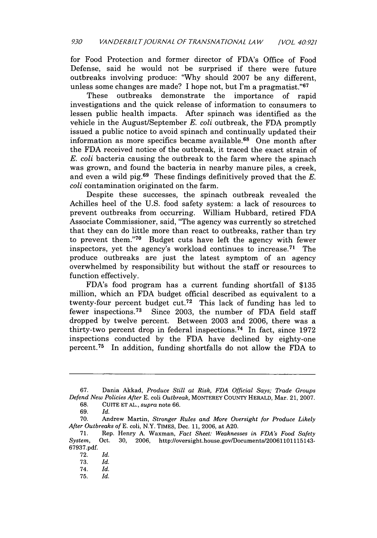for Food Protection and former director of FDA's Office of Food Defense, said he would not be surprised if there were future outbreaks involving produce: "Why should 2007 be any different, unless some changes are made? I hope not, but I'm a pragmatist." $67$ 

These outbreaks demonstrate the importance of rapid investigations and the quick release of information to consumers to lessen public health impacts. After spinach was identified as the vehicle in the August/September *E. coli* outbreak, the FDA promptly issued a public notice to avoid spinach and continually updated their information as more specifics became available. 68 One month after the FDA received notice of the outbreak, it traced the exact strain of *E. coli* bacteria causing the outbreak to the farm where the spinach was grown, and found the bacteria in nearby manure piles, a creek, and even a wild pig.<sup>69</sup> These findings definitively proved that the  $E$ . *coli* contamination originated on the farm.

Despite these successes, the spinach outbreak revealed the Achilles heel of the U.S. food safety system: a lack of resources to prevent outbreaks from occurring. William Hubbard, retired FDA Associate Commissioner, said, "The agency was currently so stretched that they can do little more than react to outbreaks, rather than try to prevent them."<sup>70</sup> Budget cuts have left the agency with fewer inspectors, yet the agency's workload continues to increase. 71 The produce outbreaks are just the latest symptom of an agency overwhelmed by responsibility but without the staff or resources to function effectively.

FDA's food program has a current funding shortfall of \$135 million, which an FDA budget official described as equivalent to a twenty-four percent budget cut.<sup>72</sup> This lack of funding has led to fewer inspections.<sup>73</sup> Since 2003, the number of FDA field staff dropped by twelve percent. Between 2003 and 2006, there was a thirty-two percent drop in federal inspections.<sup>74</sup> In fact, since  $1972$ inspections conducted by the FDA have declined by eighty-one percent.<sup>75</sup> In addition, funding shortfalls do not allow the FDA to

68. CUITE **ET** AL., *supra* note 66.

<sup>67.</sup> Dania Akkad, *Produce Still at Risk, FDA Official Says; Trade Groups Defend New Policies After* E. coli *Outbreak,* MONTEREY COUNTY HERALD, Mar. 21, 2007.

<sup>69.</sup> *Id.*

<sup>70.</sup> Andrew Martin, *Stronger Rules and More Oversight for Produce Likely After Outbreaks of* E. coli, N.Y. TIMES, Dec. 11, 2006, at A20.

<sup>71.</sup> Rep. Henry A. Waxman, *Fact Sheet: Weaknesses in FDA's Food Safety System,* Oct. 30, 2006, http://oversight.house.govDocuments/20061101115143- 67937.pdf.

<sup>72.</sup> *Id.*

<sup>73.</sup> *Id.*

<sup>74.</sup> *Id.*

<sup>75.</sup> *Id.*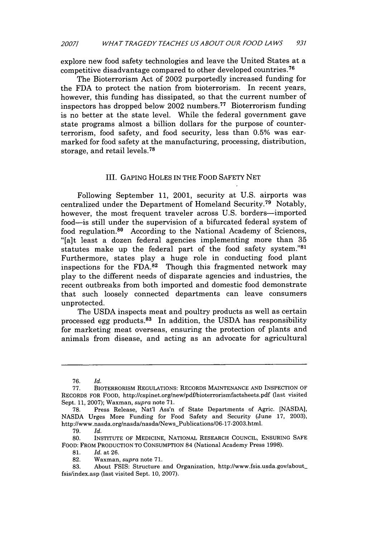explore new food safety technologies and leave the United States at a competitive disadvantage compared to other developed countries. <sup>76</sup>

The Bioterrorism Act of 2002 purportedly increased funding for the FDA to protect the nation from bioterrorism. In recent years, however, this funding has dissipated, so that the current number of inspectors has dropped below 2002 numbers.<sup>77</sup> Bioterrorism funding is no better at the state level. While the federal government gave state programs almost a billion dollars for the purpose of counterterrorism, food safety, and food security, less than 0.5% was earmarked for food safety at the manufacturing, processing, distribution, storage, and retail levels. <sup>78</sup>

#### III. GAPING HOLES IN THE FOOD SAFETY NET

Following September 11, 2001, security at U.S. airports was centralized under the Department of Homeland Security. 79 Notably, however, the most frequent traveler across U.S. borders-imported food-is still under the supervision of a bifurcated federal system of food regulation.<sup>80</sup> According to the National Academy of Sciences, "[a]t least a dozen federal agencies implementing more than 35 tatutes make up the federal part of the food safety system."<sup>8</sup> Furthermore, states play a huge role in conducting food plant inspections for the FDA. $82$  Though this fragmented network may play to the different needs of disparate agencies and industries, the recent outbreaks from both imported and domestic food demonstrate that such loosely connected departments can leave consumers unprotected.

The USDA inspects meat and poultry products as well as certain processed egg products. $83$  In addition, the USDA has responsibility for marketing meat overseas, ensuring the protection of plants and animals from disease, and acting as an advocate for agricultural

**81.** *Id.* at 26.

<sup>76.</sup> *Id.*

**<sup>77.</sup>** BIOTERRORISM **REGULATIONS:** RECORDS **MAINTENANCE AND** INSPECTION OF RECORDS FOR FOOD, http://cspinet.org/new/pdf/bioterrorismfactsheets.pdf (last visited Sept. 11, 2007); Waxman, *supra* note 71.

<sup>78.</sup> Press Release, Nat'l Ass'n of State Departments of Agric. [NASDA], NASDA Urges More Funding for Food Safety and Security (June 17, 2003), http://www.nasda.org/nasda/nasda/News-Publications/06-17-2003.html.

<sup>79.</sup> *Id.*

<sup>80.</sup> **INSTITUTE** OF **MEDICINE, NATIONAL** RESEARCH **COUNCIL, ENSURING SAFE** FOOD: FROM **PRODUCTION** TO **CONSUMPTION** 84 (National Academy Press 1998).

<sup>82.</sup> Waxman, *supra* note 71.

<sup>83.</sup> About FSIS: Structure and Organization, http://www.fsis.usda.gov/about. fsis/index.asp (last visited Sept. 10, 2007).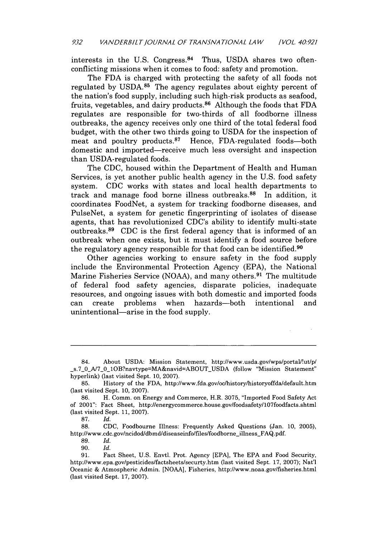interests in the U.S. Congress. $84$  Thus, USDA shares two oftenconflicting missions when it comes to food: safety and promotion.

The FDA is charged with protecting the safety of all foods not regulated by USDA. $85$  The agency regulates about eighty percent of the nation's food supply, including such high-risk products as seafood, fruits, vegetables, and dairy products.<sup>86</sup> Although the foods that FDA regulates are responsible for two-thirds of all foodborne illness outbreaks, the agency receives only one third of the total federal food budget, with the other two thirds going to USDA for the inspection of meat and poultry products. $87$  Hence, FDA-regulated foods-both domestic and imported-receive much less oversight and inspection than USDA-regulated foods.

The CDC, housed within the Department of Health and Human Services, is yet another public health agency in the U.S. food safety system. CDC works with states and local health departments to track and manage food borne illness outbreaks.<sup>88</sup> In addition, it coordinates FoodNet, a system for tracking foodborne diseases, and PulseNet, a system for genetic fingerprinting of isolates of disease agents, that has revolutionized CDC's ability to identify multi-state outbreaks.<sup>89</sup> CDC is the first federal agency that is informed of an outbreak when one exists, but it must identify a food source before the regulatory agency responsible for that food can be identified.<sup>90</sup>

Other agencies working to ensure safety in the food supply include the Environmental Protection Agency (EPA), the National Marine Fisheries Service (NOAA), and many others. 91 The multitude of federal food safety agencies, disparate policies, inadequate resources, and ongoing issues with both domestic and imported foods can create problems when hazards-both intentional and unintentional—arise in the food supply.

<sup>84.</sup> About USDA: Mission Statement, http://www.usda.gov/wps/portal/!ut/p/ s.7\_0\_A/7\_0\_1OB?navtype=MA&navid=ABOUT\_USDA (follow "Mission Statement" hyperlink) (last visited Sept. 10, 2007).

<sup>85.</sup> History of the FDA, http://www.fda.gov/oc/history/historyoffda/default.htm (last visited Sept. 10, 2007).

<sup>86.</sup> H. Comm. on Energy and Commerce, H.R. 3075, "Imported Food Safety Act of 2001": Fact Sheet, http://energycommerce.house.gov/foodsafety/lO7foodfacts.shtml (last visited Sept. 11, 2007).

**<sup>87.</sup>** *Id.*

<sup>88.</sup> CDC, Foodbourne Illness: Frequently Asked Questions (Jan. 10, 2005), http://www.cdc.gov/ncidod/dbmd/diseaseinfo/files/foodborne\_illness\_FAQ.pdf.

<sup>89.</sup> *Id.*

<sup>90.</sup> *Id.*

<sup>91.</sup> Fact Sheet, U.S. Envtl. Prot. Agency [EPA], The EPA and Food Security, http://www.epa.gov/pesticides/factsheets/securty.htm (last visited Sept. 17, 2007); Nat'l Oceanic & Atmospheric Admin. [NOAA], Fisheries, http://www.noaa.gov/fisheries.html (last visited Sept. 17, 2007).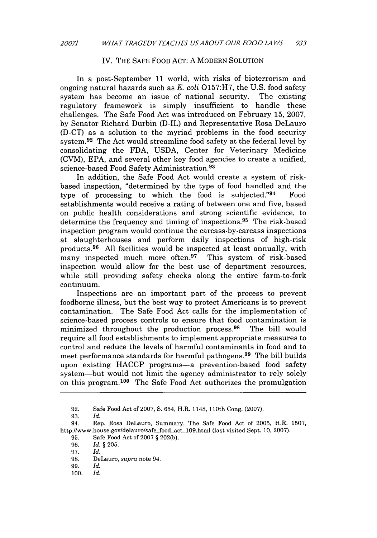#### IV. THE SAFE FOOD ACT: A MODERN SOLUTION

In a post-September 11 world, with risks of bioterrorism and ongoing natural hazards such as *E. coli* 0157:H7, the U.S. food safety system has become an issue of national security. regulatory framework is simply insufficient to handle these challenges. The Safe Food Act was introduced on February 15, 2007, by Senator Richard Durbin (D-IL) and Representative Rosa DeLauro (D-CT) as a solution to the myriad problems in the food security system.<sup>92</sup> The Act would streamline food safety at the federal level by consolidating the FDA, USDA, Center for Veterinary Medicine (CVM), EPA, and several other key food agencies to create a unified, science-based Food Safety Administration. <sup>93</sup>

In addition, the Safe Food Act would create a system of riskbased inspection, "determined by the type of food handled and the type of processing to which the food is subjected." $94$  Food establishments would receive a rating of between one and five, based on public health considerations and strong scientific evidence, to determine the frequency and timing of inspections.<sup>95</sup> The risk-based inspection program would continue the carcass-by-carcass inspections at slaughterhouses and perform daily inspections of high-risk products. 96 All facilities would be inspected at least annually, with many inspected much more often. $97$  This system of risk-based inspection would allow for the best use of department resources, while still providing safety checks along the entire farm-to-fork continuum.

Inspections are an important part of the process to prevent foodborne illness, but the best way to protect Americans is to prevent contamination. The Safe Food Act calls for the implementation of science-based process controls to ensure that food contamination is minimized throughout the production process.<sup>98</sup> The bill would require all food establishments to implement appropriate measures to control and reduce the levels of harmful contaminants in food and to meet performance standards for harmful pathogens.<sup>99</sup> The bill builds upon existing HACCP programs-a prevention-based food safety system-but would not limit the agency administrator to rely solely on this program.<sup>100</sup> The Safe Food Act authorizes the promulgation

<sup>92.</sup> Safe Food Act of 2007, S. 654, H.R. 1148, 110th Cong. (2007).

<sup>93.</sup> *Id.*

<sup>94.</sup> Rep. Rosa DeLauro, Summary, The Safe Food Act of 2005, H.R. 1507, http://www.house.gov/delauro/safe-food act 109.html (last visited Sept. 10, 2007).

<sup>95.</sup> Safe Food Act of 2007 § 202(b).

<sup>96.</sup> *Id.* § 205.

<sup>97.</sup> *Id.*

<sup>98.</sup> DeLauro, *supra* note 94.

<sup>99.</sup> *Id.*

<sup>100.</sup> *Id.*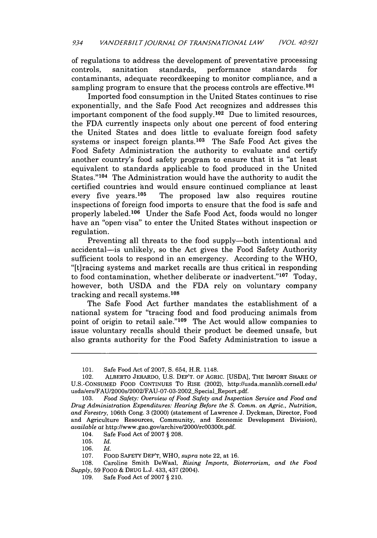of regulations to address the development of preventative processing<br>controls. sanitation standards, performance standards for controls, sanitation standards, performance standards for contaminants, adequate recordkeeping to monitor compliance, and a sampling program to ensure that the process controls are effective.<sup>101</sup>

Imported food consumption in the United States continues to rise exponentially, and the Safe Food Act recognizes and addresses this important component of the food supply.<sup>102</sup> Due to limited resources, the FDA currently inspects only about one percent of food entering the United States and does little to evaluate foreign food safety systems or inspect foreign plants. $103$  The Safe Food Act gives the Food Safety Administration the authority to evaluate and certify another country's food safety program to ensure that it is "at least equivalent to standards applicable to food produced in the United States."<sup>104</sup> The Administration would have the authority to audit the certified countries and would ensure continued compliance at least every five years.<sup>105</sup> The proposed law also requires routine inspections of foreign food imports to ensure that the food is safe and properly labeled.<sup>106</sup> Under the Safe Food Act, foods would no longer have an "open visa" to enter the United States without inspection or regulation.

Preventing all threats to the food supply—both intentional and accidental-is unlikely, so the Act gives the Food Safety Authority sufficient tools to respond in an emergency. According to the WHO, "[t]racing systems and market recalls are thus critical in responding to food contamination, whether deliberate or inadvertent." $107$  Today, however, both USDA and the FDA rely on voluntary company tracking and recall systems.<sup>108</sup>

The Safe Food Act further mandates the establishment of a national system for "tracing food and food producing animals from point of origin to retail sale."<sup>109</sup> The Act would allow companies to issue voluntary recalls should their product be deemed unsafe, but also grants authority for the Food Safety Administration to issue a

104. Safe Food Act of 2007 § 208.

105. *Id.*

106. *Id.*

107. FOOD SAFETY DEP'T, WHO, *supra* note 22, at 16.

108. Caroline Smith DeWaal, *Rising Imports, Bioterrorism, and the Food Supply,* 59 FOOD & DRUG L.J. 433, 437 (2004).

109. Safe Food Act of 2007 § 210.

<sup>101.</sup> Safe Food Act of 2007, S. 654, H.R. 1148.

<sup>102.</sup> ALBERTO JERARDO, U.S. DEP'T. OF AGRIC. [USDA], THE IMPORT SHARE OF U.S.-CONSUMED FOOD CONTINUES To RISE (2002), http://usda.mannlib.cornell.edu/ usda/ers/FAU/2000s/2002/FAU-07-03-2002\_Special\_Report.pdf.

<sup>103.</sup> *Food Safety: Overview of Food Safety and Inspection Service and Food and Drug Administration Expenditures: Hearing Before the S. Comm. on Agric., Nutrition, and Forestry,* 106th Cong. 3 (2000) (statement of Lawrence J. Dyckman, Director, Food and Agriculture Resources, Community, and Economic Development Division), *available at* http://www.gao.gov/archive/2000/rcOO30Ot.pdf.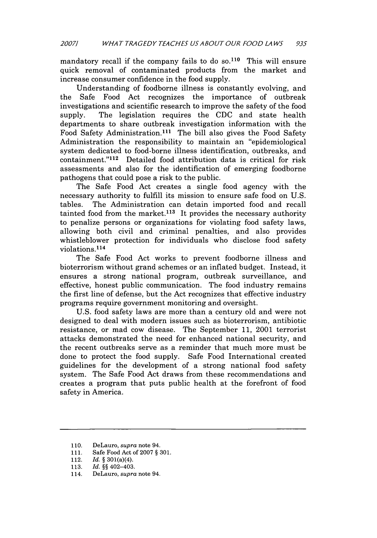mandatory recall if the company fails to do so.<sup>110</sup> This will ensure quick removal of contaminated products from the market and increase consumer confidence in the food supply.

Understanding of foodborne illness is constantly evolving, and the Safe Food Act recognizes the importance of outbreak investigations and scientific research to improve the safety of the food supply. The legislation requires the CDC and state health departments to share outbreak investigation information with the Food Safety Administration.<sup>111</sup> The bill also gives the Food Safety Administration the responsibility to maintain an "epidemiological system dedicated to food-borne illness identification, outbreaks, and  $\alpha$  containment." $\alpha$ <sup>112</sup> Detailed food attribution data is critical for risk assessments and also for the identification of emerging foodborne pathogens that could pose a risk to the public.

The Safe Food Act creates a single food agency with the necessary authority to fulfill its mission to ensure safe food on U.S. tables. The Administration can detain imported food and recall tainted food from the market.<sup>113</sup> It provides the necessary authority to penalize persons or organizations for violating food safety laws, allowing both civil and criminal penalties, and also provides whistleblower protection for individuals who disclose food safety violations. <sup>114</sup>

The Safe Food Act works to prevent foodborne illness and bioterrorism without grand schemes or an inflated budget. Instead, it ensures a strong national program, outbreak surveillance, and effective, honest public communication. The food industry remains the first line of defense, but the Act recognizes that effective industry programs require government monitoring and oversight.

U.S. food safety laws are more than a century old and were not designed to deal with modern issues such as bioterrorism, antibiotic resistance, or mad cow disease. The September 11, 2001 terrorist attacks demonstrated the need for enhanced national security, and the recent outbreaks serve as a reminder that much more must be done to protect the food supply. Safe Food International created guidelines for the development of a strong national food safety system. The Safe Food Act draws from these recommendations and creates a program that puts public health at the forefront of food safety in America.

<sup>110.</sup> DeLauro, *supra* note 94.

<sup>111.</sup> Safe Food Act of 2007 § 301.

<sup>112.</sup> *Id.* § 301(a)(4).

<sup>113.</sup> *Id.* §§ 402-403.

<sup>114.</sup> DeLauro, *supra* note 94.